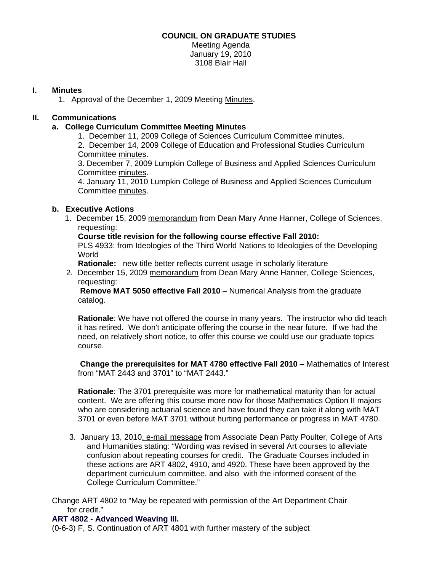## **COUNCIL ON GRADUATE STUDIES**

Meeting Agenda January 19, 2010 3108 Blair Hall

## **I. Minutes**

1. Approval of the December 1, 2009 Meetin[g Minutes.](http://www.eiu.edu/~eiucgs/currentminutes/Minutes12-01-09.pdf) 

## **II. Communications**

## **a. College Curriculum Committee Meeting Minutes**

1. December 11, 2009 College of Sciences Curriculum Committ[ee minutes.](http://www.eiu.edu/~eiucgs/currentagendaitems/COSMin12-11-09.pdf) 

2. December 14, 2009 College of Education and Professional Studies Curriculum Committe[e minutes.](http://www.eiu.edu/~eiucgs/currentagendaitems/CEPSMin12-14-09.pdf) 

3. December 7, 2009 Lumpkin College of Business and Applied Sciences Curriculum Committe[e minutes.](http://www.eiu.edu/~eiucgs/currentagendaitems/LCBASMin12-7-09.pdf) 

4. January 11, 2010 Lumpkin College of Business and Applied Sciences Curriculum Committ[ee minutes.](http://www.eiu.edu/~eiucgs/currentagendaitems/LCBASMin1-11-10.pdf) 

## **b. Executive Actions**

 1. December 15, 200[9 memorandum fr](http://www.eiu.edu/~eiucgs/currentagendaitems/COS-Exec-Act-PLS-12-15-09.pdf)om Dean Mary Anne Hanner, College of Sciences, requesting:

**Course title revision for the following course effective Fall 2010:** 

PLS 4933: from Ideologies of the Third World Nations to Ideologies of the Developing World

**Rationale:** new title better reflects current usage in scholarly literature

2. December 15, 2009 [memorandum fro](http://www.eiu.edu/~eiucgs/currentagendaitems/COS-Exec-Act-MAT-12-15-09.pdf)m Dean Mary Anne Hanner, College Sciences, requesting:

 **Remove MAT 5050 effective Fall 2010** – Numerical Analysis from the graduate catalog.

**Rationale**: We have not offered the course in many years. The instructor who did teach it has retired. We don't anticipate offering the course in the near future. If we had the need, on relatively short notice, to offer this course we could use our graduate topics course.

**Change the prerequisites for MAT 4780 effective Fall 2010** – Mathematics of Interest from "MAT 2443 and 3701" to "MAT 2443."

**Rationale**: The 3701 prerequisite was more for mathematical maturity than for actual content. We are offering this course more now for those Mathematics Option II majors who are considering actuarial science and have found they can take it along with MAT 3701 or even before MAT 3701 without hurting performance or progress in MAT 4780.

3. January 13, 201[0, e-mail message f](http://www.eiu.edu/~eiucgs/currentagendaitems/CAH-exec-act-12-04-09.pdf)rom Associate Dean Patty Poulter, College of Arts and Humanities stating: "Wording was revised in several Art courses to alleviate confusion about repeating courses for credit. The Graduate Courses included in these actions are ART 4802, 4910, and 4920. These have been approved by the department curriculum committee, and also with the informed consent of the College Curriculum Committee."

Change ART 4802 to "May be repeated with permission of the Art Department Chair for credit."

## **ART 4802 - Advanced Weaving III.**

(0-6-3) F, S. Continuation of ART 4801 with further mastery of the subject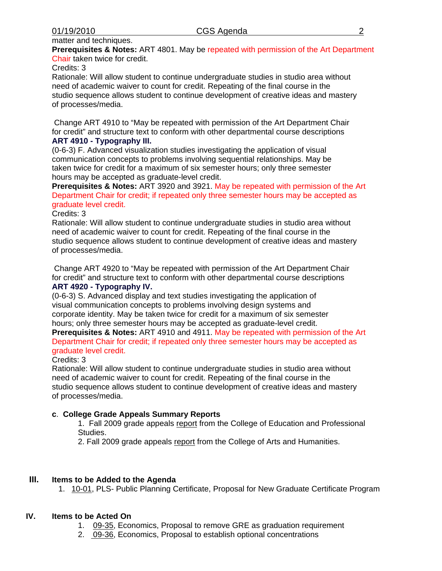# matter and techniques.

**Prerequisites & Notes:** ART 4801. May be repeated with permission of the Art Department Chair taken twice for credit.

#### Credits: 3

Rationale: Will allow student to continue undergraduate studies in studio area without need of academic waiver to count for credit. Repeating of the final course in the studio sequence allows student to continue development of creative ideas and mastery of processes/media.

 Change ART 4910 to "May be repeated with permission of the Art Department Chair for credit" and structure text to conform with other departmental course descriptions **ART 4910 - Typography III.** 

(0-6-3) F. Advanced visualization studies investigating the application of visual communication concepts to problems involving sequential relationships. May be taken twice for credit for a maximum of six semester hours; only three semester hours may be accepted as graduate-level credit.

**Prerequisites & Notes:** ART 3920 and 3921. May be repeated with permission of the Art Department Chair for credit; if repeated only three semester hours may be accepted as graduate level credit.

#### Credits: 3

Rationale: Will allow student to continue undergraduate studies in studio area without need of academic waiver to count for credit. Repeating of the final course in the studio sequence allows student to continue development of creative ideas and mastery of processes/media.

 Change ART 4920 to "May be repeated with permission of the Art Department Chair for credit" and structure text to conform with other departmental course descriptions **ART 4920 - Typography IV.** 

(0-6-3) S. Advanced display and text studies investigating the application of visual communication concepts to problems involving design systems and corporate identity. May be taken twice for credit for a maximum of six semester hours; only three semester hours may be accepted as graduate-level credit.

**Prerequisites & Notes:** ART 4910 and 4911. May be repeated with permission of the Art Department Chair for credit; if repeated only three semester hours may be accepted as graduate level credit.

#### Credits: 3

Rationale: Will allow student to continue undergraduate studies in studio area without need of academic waiver to count for credit. Repeating of the final course in the studio sequence allows student to continue development of creative ideas and mastery of processes/media.

#### **c**. **College Grade Appeals Summary Reports**

1. Fall 2009 grade appeal[s report fr](http://www.eiu.edu/~eiucgs/currentagendaitems/CEPSGradeAppealsFA09.pdf)om the College of Education and Professional Studies.

2. Fall 2009 grade a[ppeals report fr](http://www.eiu.edu/~eiucgs/currentagendaitems/CAHGradeAppealsFA09.pdf)om the College of Arts and Humanities.

## **III. Items to be Added to the Agenda**

1[. 10-01,](http://www.eiu.edu/~eiucgs/currentagendaitems/agenda10-01.pdf) PLS- Public Planning Certificate, Proposal for New Graduate Certificate Program

#### **IV. Items to be Acted On**

- 1. [09-35, E](http://www.eiu.edu/~eiucgs/currentagendaitems/agenda09-35.pdf)conomics, Proposal to remove GRE as graduation requirement
- 2. [09-36, E](http://www.eiu.edu/~eiucgs/currentagendaitems/agenda09-36.pdf)conomics, Proposal to establish optional concentrations